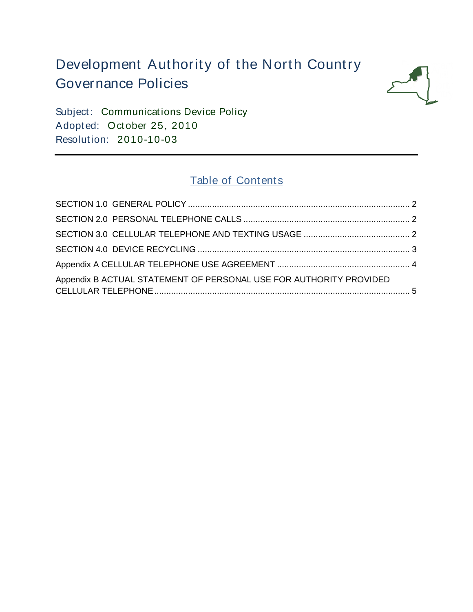# Development Authority of the North Country Governance Policies



Subject: Communications Device Policy Adopted: October 25, 2010 Resolution: 2010-10-03

## Table of Contents

| Appendix B ACTUAL STATEMENT OF PERSONAL USE FOR AUTHORITY PROVIDED |  |
|--------------------------------------------------------------------|--|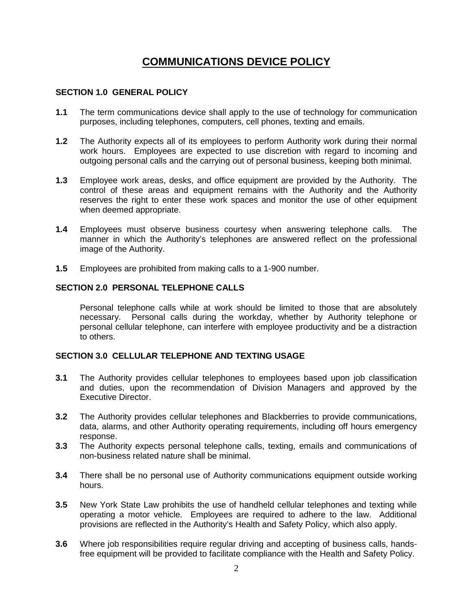### **COMMUNICATIONS DEVICE POLICY**

#### <span id="page-1-0"></span>**SECTION 1.0 GENERAL POLICY**

- **1.1** The term communications device shall apply to the use of technology for communication purposes, including telephones, computers, cell phones, texting and emails.
- **1.2** The Authority expects all of its employees to perform Authority work during their normal work hours. Employees are expected to use discretion with regard to incoming and outgoing personal calls and the carrying out of personal business, keeping both minimal.
- **1.3** Employee work areas, desks, and office equipment are provided by the Authority. The control of these areas and equipment remains with the Authority and the Authority reserves the right to enter these work spaces and monitor the use of other equipment when deemed appropriate.
- **1.4** Employees must observe business courtesy when answering telephone calls. The manner in which the Authority's telephones are answered reflect on the professional image of the Authority.
- **1.5** Employees are prohibited from making calls to a 1-900 number.

#### <span id="page-1-1"></span>**SECTION 2.0 PERSONAL TELEPHONE CALLS**

Personal telephone calls while at work should be limited to those that are absolutely necessary. Personal calls during the workday, whether by Authority telephone or personal cellular telephone, can interfere with employee productivity and be a distraction to others.

#### <span id="page-1-2"></span>**SECTION 3.0 CELLULAR TELEPHONE AND TEXTING USAGE**

- **3.1** The Authority provides cellular telephones to employees based upon job classification and duties, upon the recommendation of Division Managers and approved by the Executive Director.
- **3.2** The Authority provides cellular telephones and Blackberries to provide communications, data, alarms, and other Authority operating requirements, including off hours emergency response.
- **3.3** The Authority expects personal telephone calls, texting, emails and communications of non-business related nature shall be minimal.
- **3.4** There shall be no personal use of Authority communications equipment outside working hours.
- **3.5** New York State Law prohibits the use of handheld cellular telephones and texting while operating a motor vehicle. Employees are required to adhere to the law. Additional provisions are reflected in the Authority's Health and Safety Policy, which also apply.
- **3.6** Where job responsibilities require regular driving and accepting of business calls, handsfree equipment will be provided to facilitate compliance with the Health and Safety Policy.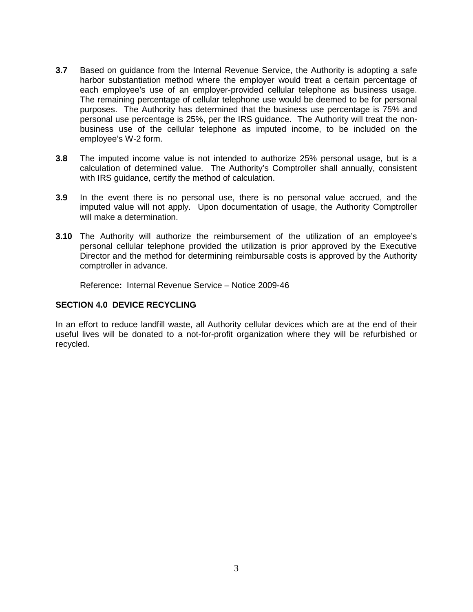- **3.7** Based on guidance from the Internal Revenue Service, the Authority is adopting a safe harbor substantiation method where the employer would treat a certain percentage of each employee's use of an employer-provided cellular telephone as business usage. The remaining percentage of cellular telephone use would be deemed to be for personal purposes. The Authority has determined that the business use percentage is 75% and personal use percentage is 25%, per the IRS guidance. The Authority will treat the nonbusiness use of the cellular telephone as imputed income, to be included on the employee's W-2 form.
- **3.8** The imputed income value is not intended to authorize 25% personal usage, but is a calculation of determined value. The Authority's Comptroller shall annually, consistent with IRS guidance, certify the method of calculation.
- **3.9** In the event there is no personal use, there is no personal value accrued, and the imputed value will not apply. Upon documentation of usage, the Authority Comptroller will make a determination.
- **3.10** The Authority will authorize the reimbursement of the utilization of an employee's personal cellular telephone provided the utilization is prior approved by the Executive Director and the method for determining reimbursable costs is approved by the Authority comptroller in advance.

Reference**:** Internal Revenue Service – Notice 2009-46

#### <span id="page-2-0"></span>**SECTION 4.0 DEVICE RECYCLING**

In an effort to reduce landfill waste, all Authority cellular devices which are at the end of their useful lives will be donated to a not-for-profit organization where they will be refurbished or recycled.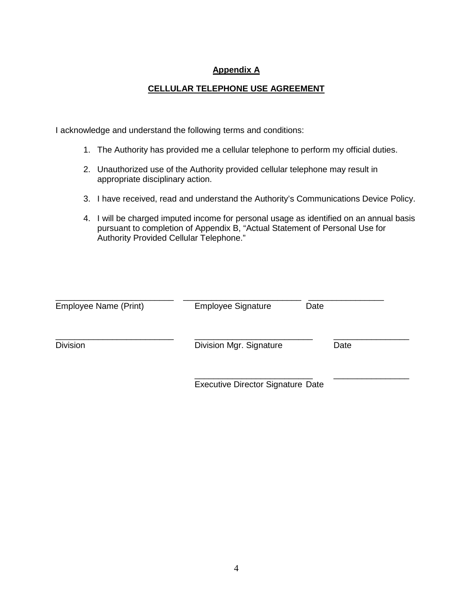#### **Appendix A**

#### **CELLULAR TELEPHONE USE AGREEMENT**

<span id="page-3-0"></span>I acknowledge and understand the following terms and conditions:

- 1. The Authority has provided me a cellular telephone to perform my official duties.
- 2. Unauthorized use of the Authority provided cellular telephone may result in appropriate disciplinary action.
- 3. I have received, read and understand the Authority's Communications Device Policy.
- 4. I will be charged imputed income for personal usage as identified on an annual basis pursuant to completion of Appendix B, "Actual Statement of Personal Use for Authority Provided Cellular Telephone."

| Employee Name (Print) | <b>Employee Signature</b>                | Date |  |
|-----------------------|------------------------------------------|------|--|
| <b>Division</b>       | Division Mgr. Signature                  | Date |  |
|                       | <b>Executive Director Signature Date</b> |      |  |